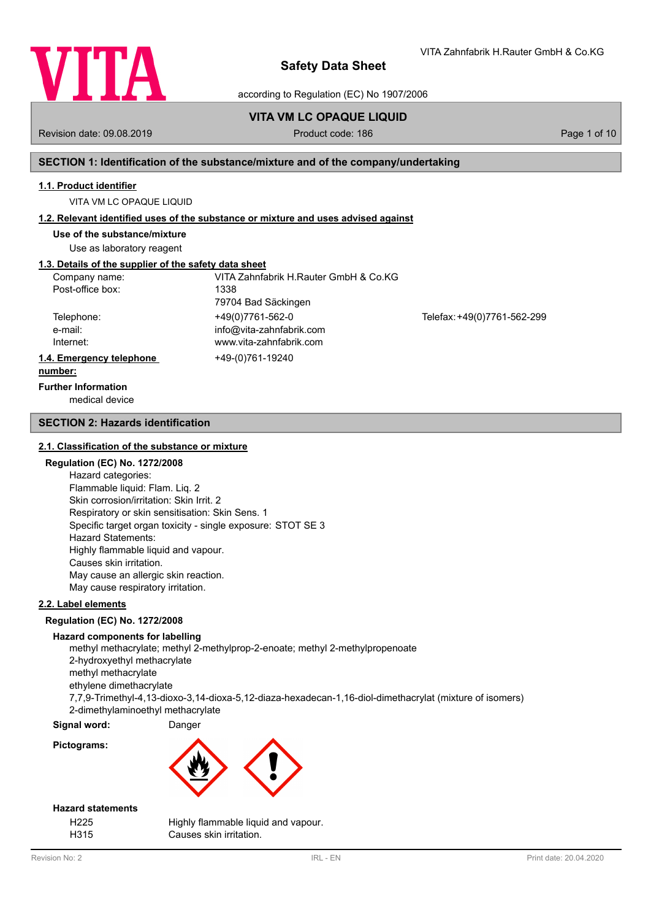

according to Regulation (EC) No 1907/2006

# **VITA VM LC OPAQUE LIQUID**

Revision date: 09.08.2019 **Product code: 186** Page 1 of 10

VITA Zahnfabrik H.Rauter GmbH & Co.KG

## **SECTION 1: Identification of the substance/mixture and of the company/undertaking**

### **1.1. Product identifier**

VITA VM LC OPAQUE LIQUID

## **1.2. Relevant identified uses of the substance or mixture and uses advised against**

**Use of the substance/mixture**

Use as laboratory reagent

# **1.3. Details of the supplier of the safety data sheet**

| Company name:            | VITA Zahnfabrik H.Rauter GmbH & Co.KG |                             |
|--------------------------|---------------------------------------|-----------------------------|
| Post-office box:         | 1338                                  |                             |
|                          | 79704 Bad Säckingen                   |                             |
| Telephone:               | +49(0)7761-562-0                      | Telefax: +49(0)7761-562-299 |
| e-mail:                  | info@vita-zahnfabrik.com              |                             |
| Internet:                | www.vita-zahnfabrik.com               |                             |
| 1.4. Emergency telephone | +49-(0)761-19240                      |                             |
| number:                  |                                       |                             |

# **Further Information**

medical device

### **SECTION 2: Hazards identification**

### **2.1. Classification of the substance or mixture**

## **Regulation (EC) No. 1272/2008**

Hazard categories: Flammable liquid: Flam. Liq. 2 Skin corrosion/irritation: Skin Irrit. 2 Respiratory or skin sensitisation: Skin Sens. 1 Specific target organ toxicity - single exposure: STOT SE 3 Hazard Statements: Highly flammable liquid and vapour. Causes skin irritation. May cause an allergic skin reaction. May cause respiratory irritation.

### **2.2. Label elements**

### **Regulation (EC) No. 1272/2008**

### **Hazard components for labelling**

methyl methacrylate; methyl 2-methylprop-2-enoate; methyl 2-methylpropenoate 2-hydroxyethyl methacrylate methyl methacrylate ethylene dimethacrylate 7,7,9-Trimethyl-4,13-dioxo-3,14-dioxa-5,12-diaza-hexadecan-1,16-diol-dimethacrylat (mixture of isomers) 2-dimethylaminoethyl methacrylate

## **Signal word:** Danger

**Pictograms:**



## **Hazard statements**

| H <sub>225</sub> | Highly flammable liquid and vapour. |
|------------------|-------------------------------------|
| H315             | Causes skin irritation.             |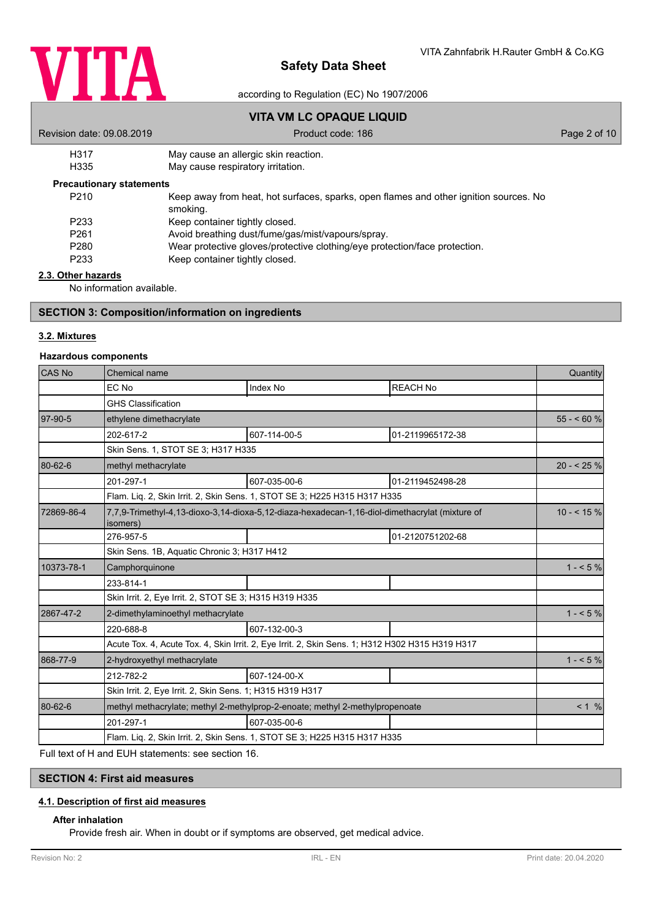

according to Regulation (EC) No 1907/2006

# **VITA VM LC OPAQUE LIQUID**

| Revision date: 09.08.2019       | Product code: 186                                                                                 | Page 2 of 10 |
|---------------------------------|---------------------------------------------------------------------------------------------------|--------------|
| H317                            | May cause an allergic skin reaction.                                                              |              |
| H335                            | May cause respiratory irritation.                                                                 |              |
| <b>Precautionary statements</b> |                                                                                                   |              |
| P210                            | Keep away from heat, hot surfaces, sparks, open flames and other ignition sources. No<br>smoking. |              |
| P233                            | Keep container tightly closed.                                                                    |              |

- P261 Avoid breathing dust/fume/gas/mist/vapours/spray.<br>P280 Wear protective gloves/protective clothing/eve protective
- P280 Wear protective gloves/protective clothing/eye protection/face protection.<br>P233 Keep container tightly closed.
- Keep container tightly closed.

## **2.3. Other hazards**

No information available.

## **SECTION 3: Composition/information on ingredients**

## **3.2. Mixtures**

## **Hazardous components**

| CAS <sub>No</sub> | Chemical name                                                                                              |                                                                                                 |                  | Quantity   |
|-------------------|------------------------------------------------------------------------------------------------------------|-------------------------------------------------------------------------------------------------|------------------|------------|
|                   | EC No                                                                                                      | Index No                                                                                        | <b>REACH No</b>  |            |
|                   | <b>GHS Classification</b>                                                                                  |                                                                                                 |                  |            |
| 97-90-5           | ethylene dimethacrylate                                                                                    |                                                                                                 |                  | $55 - 60%$ |
|                   | 202-617-2                                                                                                  | 607-114-00-5                                                                                    | 01-2119965172-38 |            |
|                   | Skin Sens. 1, STOT SE 3; H317 H335                                                                         |                                                                                                 |                  |            |
| 80-62-6           | methyl methacrylate                                                                                        |                                                                                                 |                  | $20 - 25%$ |
|                   | 201-297-1                                                                                                  | 607-035-00-6                                                                                    | 01-2119452498-28 |            |
|                   |                                                                                                            | Flam. Lig. 2, Skin Irrit. 2, Skin Sens. 1, STOT SE 3; H225 H315 H317 H335                       |                  |            |
| 72869-86-4        | 7,7,9-Trimethyl-4,13-dioxo-3,14-dioxa-5,12-diaza-hexadecan-1,16-diol-dimethacrylat (mixture of<br>isomers) |                                                                                                 |                  | $10 - 5\%$ |
|                   | 276-957-5                                                                                                  |                                                                                                 | 01-2120751202-68 |            |
|                   | Skin Sens. 1B, Aquatic Chronic 3; H317 H412                                                                |                                                                                                 |                  |            |
| 10373-78-1        | Camphorquinone                                                                                             |                                                                                                 | $1 - 5\%$        |            |
|                   | 233-814-1                                                                                                  |                                                                                                 |                  |            |
|                   | Skin Irrit. 2, Eye Irrit. 2, STOT SE 3; H315 H319 H335                                                     |                                                                                                 |                  |            |
| 2867-47-2         | 2-dimethylaminoethyl methacrylate                                                                          |                                                                                                 |                  | $1 - 5\%$  |
|                   | 220-688-8                                                                                                  | 607-132-00-3                                                                                    |                  |            |
|                   |                                                                                                            | Acute Tox. 4, Acute Tox. 4, Skin Irrit. 2, Eye Irrit. 2, Skin Sens. 1; H312 H302 H315 H319 H317 |                  |            |
| 868-77-9          | 2-hydroxyethyl methacrylate                                                                                |                                                                                                 |                  | $1 - 5\%$  |
|                   | 212-782-2                                                                                                  | 607-124-00-X                                                                                    |                  |            |
|                   | Skin Irrit. 2, Eye Irrit. 2, Skin Sens. 1; H315 H319 H317                                                  |                                                                                                 |                  |            |
| 80-62-6           |                                                                                                            | methyl methacrylate; methyl 2-methylprop-2-enoate; methyl 2-methylpropenoate                    |                  | < 1 %      |
|                   | 201-297-1                                                                                                  | 607-035-00-6                                                                                    |                  |            |
|                   | Flam. Liq. 2, Skin Irrit. 2, Skin Sens. 1, STOT SE 3; H225 H315 H317 H335                                  |                                                                                                 |                  |            |

Full text of H and EUH statements: see section 16.

## **SECTION 4: First aid measures**

### **4.1. Description of first aid measures**

## **After inhalation**

Provide fresh air. When in doubt or if symptoms are observed, get medical advice.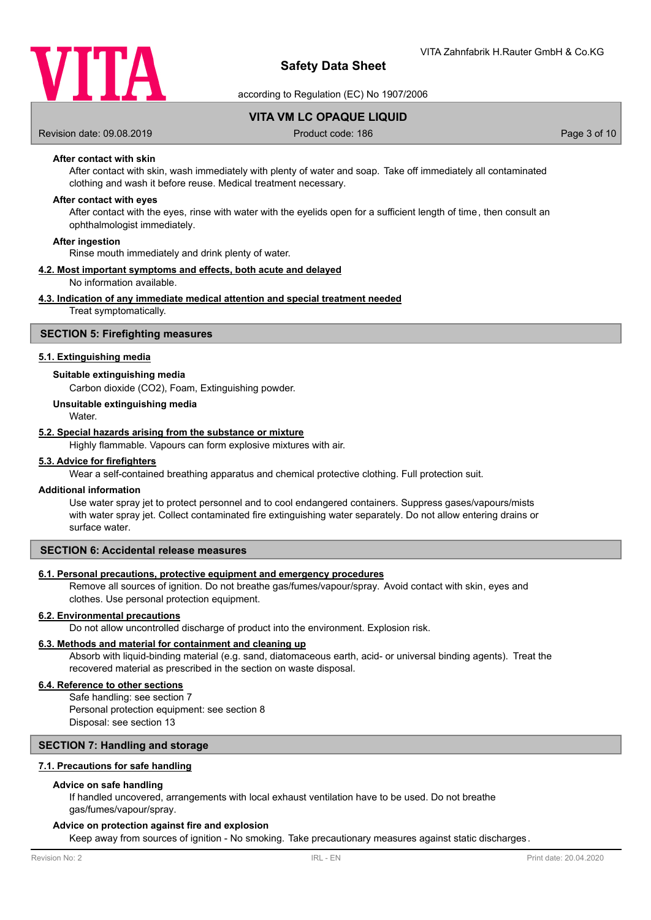

according to Regulation (EC) No 1907/2006

**VITA VM LC OPAQUE LIQUID**

Revision date: 09.08.2019 **Product code: 186** Page 3 of 10

## **After contact with skin**

After contact with skin, wash immediately with plenty of water and soap. Take off immediately all contaminated clothing and wash it before reuse. Medical treatment necessary.

### **After contact with eyes**

After contact with the eyes, rinse with water with the eyelids open for a sufficient length of time, then consult an ophthalmologist immediately.

### **After ingestion**

Rinse mouth immediately and drink plenty of water.

## **4.2. Most important symptoms and effects, both acute and delayed**

No information available.

### **4.3. Indication of any immediate medical attention and special treatment needed**

Treat symptomatically.

### **SECTION 5: Firefighting measures**

### **5.1. Extinguishing media**

### **Suitable extinguishing media**

Carbon dioxide (CO2), Foam, Extinguishing powder.

## **Unsuitable extinguishing media**

**Water** 

### **5.2. Special hazards arising from the substance or mixture**

Highly flammable. Vapours can form explosive mixtures with air.

#### **5.3. Advice for firefighters**

Wear a self-contained breathing apparatus and chemical protective clothing. Full protection suit.

#### **Additional information**

Use water spray jet to protect personnel and to cool endangered containers. Suppress gases/vapours/mists with water spray jet. Collect contaminated fire extinguishing water separately. Do not allow entering drains or surface water.

## **SECTION 6: Accidental release measures**

### **6.1. Personal precautions, protective equipment and emergency procedures**

Remove all sources of ignition. Do not breathe gas/fumes/vapour/spray. Avoid contact with skin, eyes and clothes. Use personal protection equipment.

### **6.2. Environmental precautions**

Do not allow uncontrolled discharge of product into the environment. Explosion risk.

## **6.3. Methods and material for containment and cleaning up**

Absorb with liquid-binding material (e.g. sand, diatomaceous earth, acid- or universal binding agents). Treat the recovered material as prescribed in the section on waste disposal.

## **6.4. Reference to other sections**

Safe handling: see section 7 Personal protection equipment: see section 8 Disposal: see section 13

### **SECTION 7: Handling and storage**

### **7.1. Precautions for safe handling**

### **Advice on safe handling**

If handled uncovered, arrangements with local exhaust ventilation have to be used. Do not breathe gas/fumes/vapour/spray.

### **Advice on protection against fire and explosion**

Keep away from sources of ignition - No smoking. Take precautionary measures against static discharges.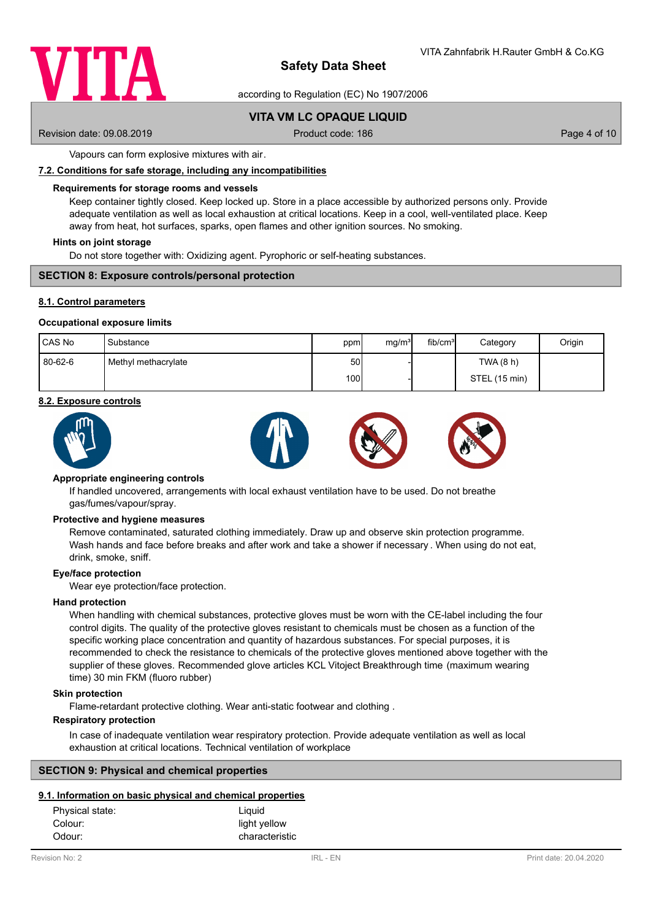

according to Regulation (EC) No 1907/2006

# **VITA VM LC OPAQUE LIQUID**

Revision date: 09.08.2019 **Product code: 186** Page 4 of 10

Vapours can form explosive mixtures with air.

### **7.2. Conditions for safe storage, including any incompatibilities**

### **Requirements for storage rooms and vessels**

Keep container tightly closed. Keep locked up. Store in a place accessible by authorized persons only. Provide adequate ventilation as well as local exhaustion at critical locations. Keep in a cool, well-ventilated place. Keep away from heat, hot surfaces, sparks, open flames and other ignition sources. No smoking.

### **Hints on joint storage**

Do not store together with: Oxidizing agent. Pyrophoric or self-heating substances.

### **SECTION 8: Exposure controls/personal protection**

### **8.1. Control parameters**

### **Occupational exposure limits**

| <b>CAS No</b> | Substance           | ppm              | mq/m <sup>3</sup> | fib/cm <sup>3</sup> | Category      | Origin |
|---------------|---------------------|------------------|-------------------|---------------------|---------------|--------|
| 80-62-6       | Methyl methacrylate | 50 l             |                   |                     | TWA (8 h)     |        |
|               |                     | 100 <sup>1</sup> |                   |                     | STEL (15 min) |        |

### **8.2. Exposure controls**



#### **Appropriate engineering controls**

If handled uncovered, arrangements with local exhaust ventilation have to be used. Do not breathe gas/fumes/vapour/spray.

#### **Protective and hygiene measures**

Remove contaminated, saturated clothing immediately. Draw up and observe skin protection programme. Wash hands and face before breaks and after work and take a shower if necessary . When using do not eat, drink, smoke, sniff.

### **Eye/face protection**

Wear eye protection/face protection.

#### **Hand protection**

When handling with chemical substances, protective gloves must be worn with the CE-label including the four control digits. The quality of the protective gloves resistant to chemicals must be chosen as a function of the specific working place concentration and quantity of hazardous substances. For special purposes, it is recommended to check the resistance to chemicals of the protective gloves mentioned above together with the supplier of these gloves. Recommended glove articles KCL Vitoject Breakthrough time (maximum wearing time) 30 min FKM (fluoro rubber)

### **Skin protection**

Flame-retardant protective clothing. Wear anti-static footwear and clothing .

## **Respiratory protection**

In case of inadequate ventilation wear respiratory protection. Provide adequate ventilation as well as local exhaustion at critical locations. Technical ventilation of workplace

### **SECTION 9: Physical and chemical properties**

## **9.1. Information on basic physical and chemical properties**

| Physical state: | Liquid         |
|-----------------|----------------|
| Colour:         | light yellow   |
| Odour:          | characteristic |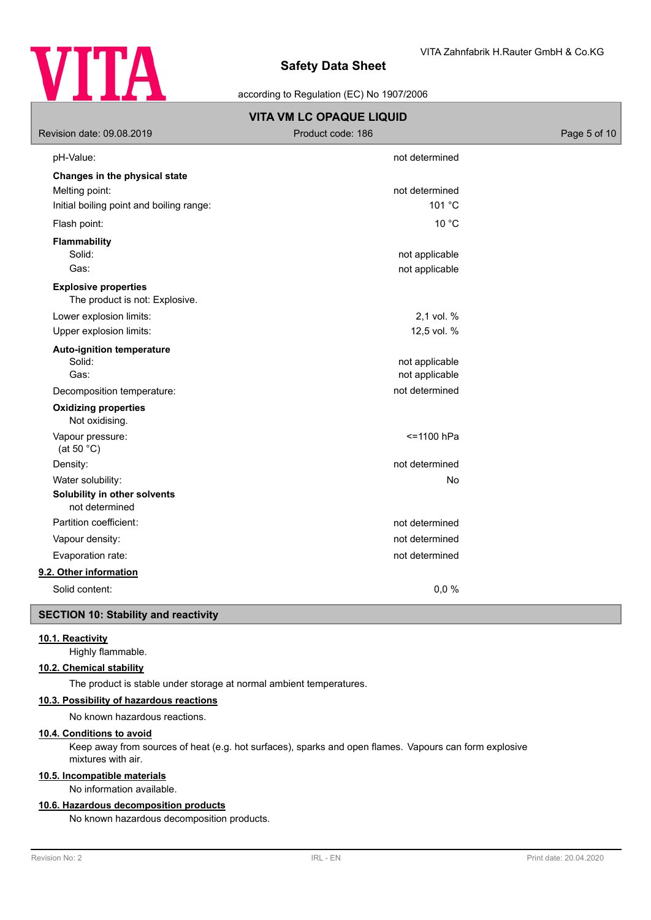

according to Regulation (EC) No 1907/2006

| Revision date: 09.08.2019                                     | <b>VITA VM LC OPAQUE LIQUID</b><br>Product code: 186 | Page 5 of 10 |
|---------------------------------------------------------------|------------------------------------------------------|--------------|
| pH-Value:                                                     | not determined                                       |              |
| Changes in the physical state                                 |                                                      |              |
| Melting point:                                                | not determined                                       |              |
| Initial boiling point and boiling range:                      | 101 °C                                               |              |
| Flash point:                                                  | 10 °C                                                |              |
| <b>Flammability</b><br>Solid:                                 | not applicable                                       |              |
| Gas:                                                          | not applicable                                       |              |
| <b>Explosive properties</b><br>The product is not: Explosive. |                                                      |              |
| Lower explosion limits:                                       | 2,1 vol. %                                           |              |
| Upper explosion limits:                                       | 12,5 vol. %                                          |              |
| <b>Auto-ignition temperature</b><br>Solid:<br>Gas:            | not applicable<br>not applicable                     |              |
| Decomposition temperature:                                    | not determined                                       |              |
| <b>Oxidizing properties</b><br>Not oxidising.                 |                                                      |              |
| Vapour pressure:<br>(at 50 $°C$ )                             | <= 1100 hPa                                          |              |
| Density:                                                      | not determined                                       |              |
| Water solubility:                                             | No                                                   |              |
| Solubility in other solvents<br>not determined                |                                                      |              |
| Partition coefficient:                                        | not determined                                       |              |
| Vapour density:                                               | not determined                                       |              |
| Evaporation rate:                                             | not determined                                       |              |
| 9.2. Other information                                        |                                                      |              |
| Solid content:                                                | 0,0%                                                 |              |
| <b>SECTION 10: Stability and reactivity</b>                   |                                                      |              |

# **10.1. Reactivity**

Highly flammable.

# **10.2. Chemical stability**

The product is stable under storage at normal ambient temperatures.

## **10.3. Possibility of hazardous reactions**

No known hazardous reactions.

# **10.4. Conditions to avoid**

Keep away from sources of heat (e.g. hot surfaces), sparks and open flames. Vapours can form explosive mixtures with air.

# **10.5. Incompatible materials**

No information available.

## **10.6. Hazardous decomposition products**

No known hazardous decomposition products.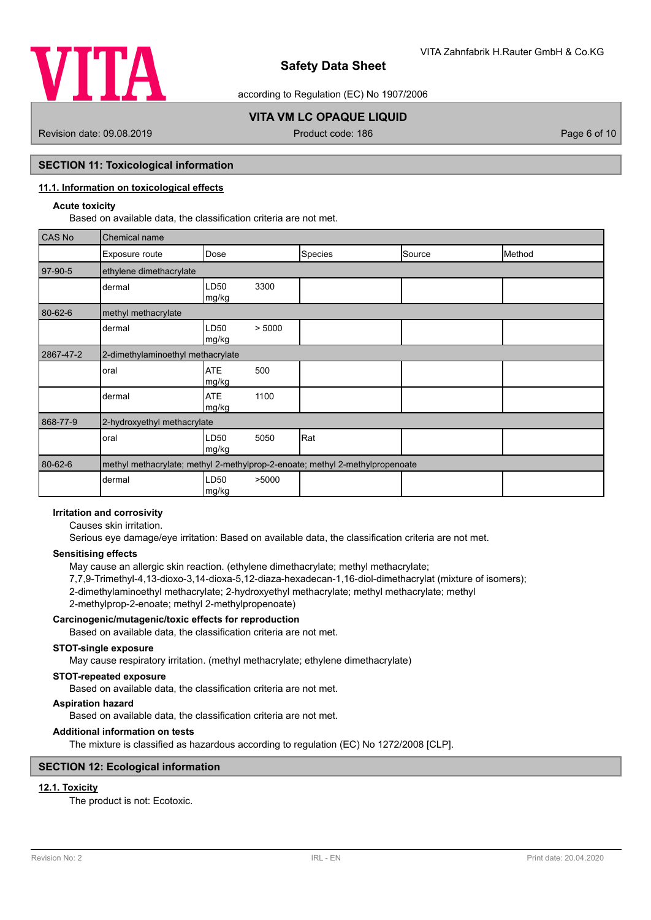

according to Regulation (EC) No 1907/2006

# **VITA VM LC OPAQUE LIQUID**

Revision date: 09.08.2019 **Product code: 186** Page 6 of 10

## **SECTION 11: Toxicological information**

# **11.1. Information on toxicological effects**

## **Acute toxicity**

Based on available data, the classification criteria are not met.

| CAS No    | Chemical name                                                                |                     |        |         |        |        |
|-----------|------------------------------------------------------------------------------|---------------------|--------|---------|--------|--------|
|           | Exposure route                                                               | Dose                |        | Species | Source | Method |
| 97-90-5   | ethylene dimethacrylate                                                      |                     |        |         |        |        |
|           | dermal                                                                       | LD50<br>mg/kg       | 3300   |         |        |        |
| 80-62-6   | methyl methacrylate                                                          |                     |        |         |        |        |
|           | dermal                                                                       | LD50<br>mg/kg       | > 5000 |         |        |        |
| 2867-47-2 | 2-dimethylaminoethyl methacrylate                                            |                     |        |         |        |        |
|           | oral                                                                         | <b>ATE</b><br>mg/kg | 500    |         |        |        |
|           | dermal                                                                       | <b>ATE</b><br>mg/kg | 1100   |         |        |        |
| 868-77-9  | 2-hydroxyethyl methacrylate                                                  |                     |        |         |        |        |
|           | oral                                                                         | LD50<br>mg/kg       | 5050   | Rat     |        |        |
| 80-62-6   | methyl methacrylate; methyl 2-methylprop-2-enoate; methyl 2-methylpropenoate |                     |        |         |        |        |
|           | dermal                                                                       | LD50<br> mg/kg      | >5000  |         |        |        |

# **Irritation and corrosivity**

Causes skin irritation.

Serious eye damage/eye irritation: Based on available data, the classification criteria are not met.

## **Sensitising effects**

May cause an allergic skin reaction. (ethylene dimethacrylate; methyl methacrylate; 7,7,9-Trimethyl-4,13-dioxo-3,14-dioxa-5,12-diaza-hexadecan-1,16-diol-dimethacrylat (mixture of isomers); 2-dimethylaminoethyl methacrylate; 2-hydroxyethyl methacrylate; methyl methacrylate; methyl 2-methylprop-2-enoate; methyl 2-methylpropenoate)

## **Carcinogenic/mutagenic/toxic effects for reproduction**

Based on available data, the classification criteria are not met.

## **STOT-single exposure**

May cause respiratory irritation. (methyl methacrylate; ethylene dimethacrylate)

### **STOT-repeated exposure**

Based on available data, the classification criteria are not met.

## **Aspiration hazard**

Based on available data, the classification criteria are not met.

## **Additional information on tests**

The mixture is classified as hazardous according to regulation (EC) No 1272/2008 [CLP].

## **SECTION 12: Ecological information**

# **12.1. Toxicity**

The product is not: Ecotoxic.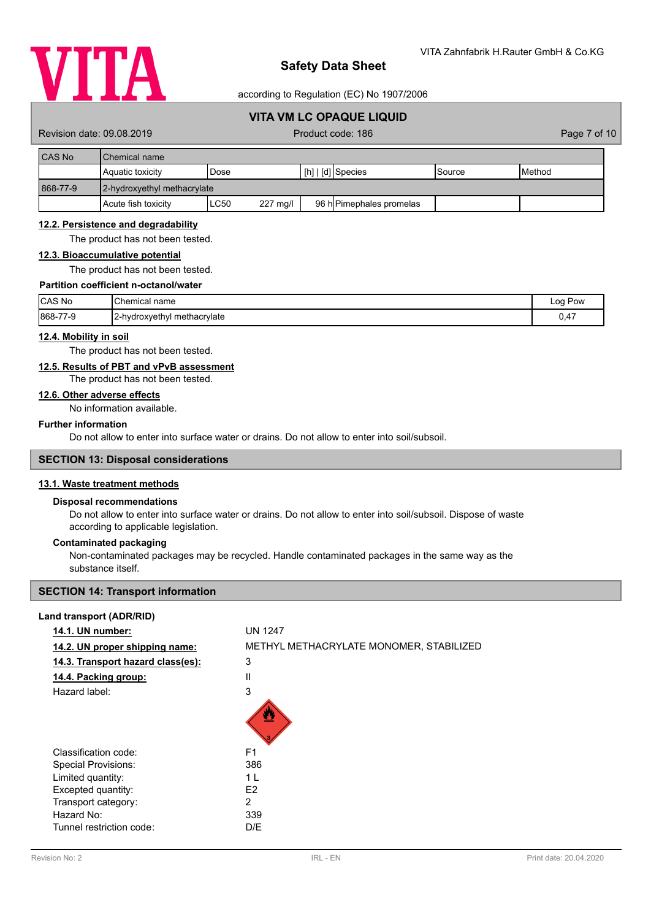

according to Regulation (EC) No 1907/2006

# **VITA VM LC OPAQUE LIQUID**

Revision date: 09.08.2019 **Product code: 186** Page 7 of 10

| <b>CAS No</b> | <b>Chemical name</b>        |                  |                                     |         |                 |  |  |
|---------------|-----------------------------|------------------|-------------------------------------|---------|-----------------|--|--|
|               | Aquatic toxicity            | Dose             | $\lfloor$ [h] $\lfloor$ [d] Species | ISource | <b>I</b> Method |  |  |
| 868-77-9      | 2-hydroxyethyl methacrylate |                  |                                     |         |                 |  |  |
|               | Acute fish toxicity         | LC50<br>227 mg/l | 96 h Pimephales promelas            |         |                 |  |  |

### **12.2. Persistence and degradability**

The product has not been tested.

### **12.3. Bioaccumulative potential**

The product has not been tested.

## **Partition coefficient n-octanol/water**

| CAS No         | <b>I</b> Chemical name        | Pow<br>Log |
|----------------|-------------------------------|------------|
| 868-77-<br>7-9 | [2-hydroxyethyl methacrylate] | 0,47       |

### **12.4. Mobility in soil**

The product has not been tested.

## **12.5. Results of PBT and vPvB assessment**

### The product has not been tested.

# **12.6. Other adverse effects**

No information available.

# **Further information**

Do not allow to enter into surface water or drains. Do not allow to enter into soil/subsoil.

## **SECTION 13: Disposal considerations**

## **13.1. Waste treatment methods**

## **Disposal recommendations**

Do not allow to enter into surface water or drains. Do not allow to enter into soil/subsoil. Dispose of waste according to applicable legislation.

### **Contaminated packaging**

Non-contaminated packages may be recycled. Handle contaminated packages in the same way as the substance itself.

### **SECTION 14: Transport information**

### **Land transport (ADR/RID)**

| 14.1. UN number:                  | <b>UN 1247</b>                          |
|-----------------------------------|-----------------------------------------|
| 14.2. UN proper shipping name:    | METHYL METHACRYLATE MONOMER, STABILIZED |
| 14.3. Transport hazard class(es): | 3                                       |
| 14.4. Packing group:              | Ш                                       |
| Hazard label:                     | 3                                       |
|                                   |                                         |
| Classification code:              | F <sub>1</sub>                          |
| <b>Special Provisions:</b>        | 386                                     |
| Limited quantity:                 | 1 L                                     |
| Excepted quantity:                | E <sub>2</sub>                          |
| Transport category:               | 2                                       |
| Hazard No:                        | 339                                     |
| Tunnel restriction code:          | D/E                                     |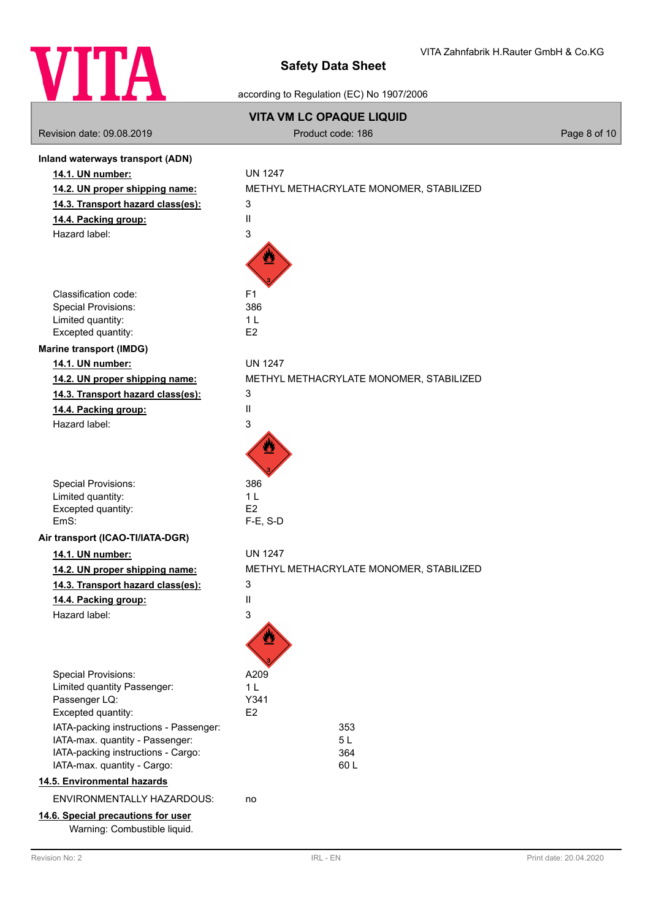

according to Regulation (EC) No 1907/2006

|                                                                       | <b>VITA VM LC OPAQUE LIQUID</b>         |              |
|-----------------------------------------------------------------------|-----------------------------------------|--------------|
| Revision date: 09.08.2019                                             | Product code: 186                       | Page 8 of 10 |
| Inland waterways transport (ADN)                                      |                                         |              |
| 14.1. UN number:                                                      | <b>UN 1247</b>                          |              |
| 14.2. UN proper shipping name:                                        | METHYL METHACRYLATE MONOMER, STABILIZED |              |
| 14.3. Transport hazard class(es):                                     | 3                                       |              |
| 14.4. Packing group:                                                  | Ш                                       |              |
| Hazard label:                                                         | 3                                       |              |
|                                                                       |                                         |              |
| Classification code:                                                  | F <sub>1</sub>                          |              |
| <b>Special Provisions:</b>                                            | 386                                     |              |
| Limited quantity:                                                     | 1 <sub>L</sub><br>E <sub>2</sub>        |              |
| Excepted quantity:                                                    |                                         |              |
| <b>Marine transport (IMDG)</b>                                        |                                         |              |
| 14.1. UN number:                                                      | <b>UN 1247</b>                          |              |
| 14.2. UN proper shipping name:                                        | METHYL METHACRYLATE MONOMER, STABILIZED |              |
| 14.3. Transport hazard class(es):                                     | 3                                       |              |
| 14.4. Packing group:                                                  | Ш                                       |              |
| Hazard label:                                                         | 3                                       |              |
| Special Provisions:                                                   | 386                                     |              |
| Limited quantity:                                                     | 1 <sub>L</sub>                          |              |
| Excepted quantity:<br>EmS:                                            | E <sub>2</sub><br>$F-E$ , S-D           |              |
| Air transport (ICAO-TI/IATA-DGR)                                      |                                         |              |
| 14.1. UN number:                                                      | <b>UN 1247</b>                          |              |
| 14.2. UN proper shipping name:                                        | METHYL METHACRYLATE MONOMER, STABILIZED |              |
| 14.3. Transport hazard class(es):                                     | 3                                       |              |
| 14.4. Packing group:                                                  | Ш                                       |              |
| Hazard label:                                                         | 3                                       |              |
|                                                                       |                                         |              |
| Special Provisions:                                                   | A209                                    |              |
| Limited quantity Passenger:                                           | 1 <sub>L</sub>                          |              |
| Passenger LQ:                                                         | Y341                                    |              |
| Excepted quantity:                                                    | E <sub>2</sub>                          |              |
| IATA-packing instructions - Passenger:                                | 353                                     |              |
| IATA-max. quantity - Passenger:<br>IATA-packing instructions - Cargo: | 5L<br>364                               |              |
| IATA-max. quantity - Cargo:                                           | 60L                                     |              |
| 14.5. Environmental hazards                                           |                                         |              |
| ENVIRONMENTALLY HAZARDOUS:                                            | no                                      |              |
| 14.6. Special precautions for user                                    |                                         |              |
| Warning: Combustible liquid.                                          |                                         |              |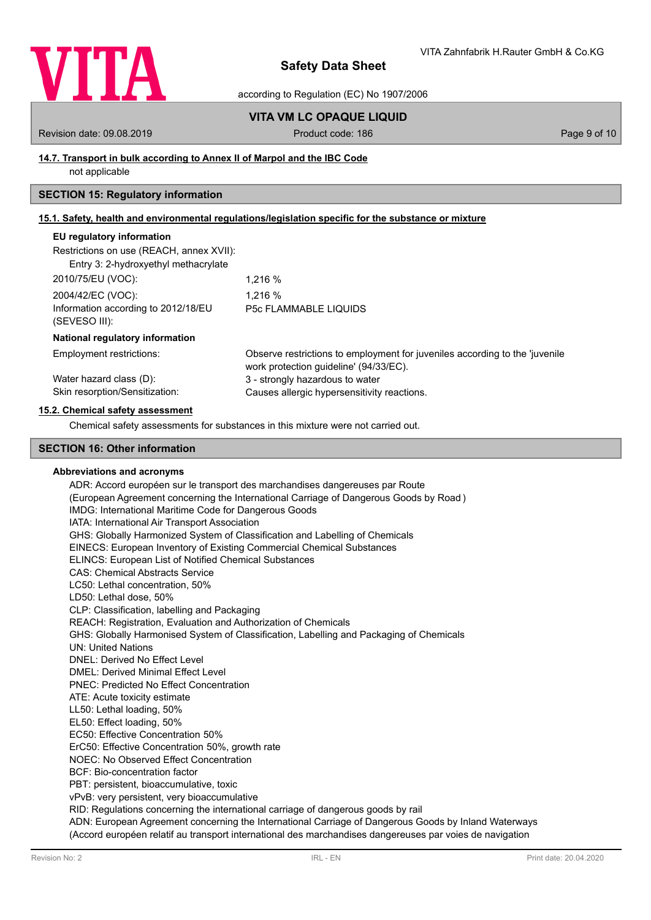

according to Regulation (EC) No 1907/2006

## **VITA VM LC OPAQUE LIQUID**

Revision date: 09.08.2019 **Product code: 186** Page 9 of 10

## **14.7. Transport in bulk according to Annex II of Marpol and the IBC Code**

not applicable

# **SECTION 15: Regulatory information**

# **15.1. Safety, health and environmental regulations/legislation specific for the substance or mixture**

## **EU regulatory information**

| Restrictions on use (REACH, annex XVII): |  |
|------------------------------------------|--|
|------------------------------------------|--|

| Entry 3: 2-hydroxyethyl methacrylate                 |                              |
|------------------------------------------------------|------------------------------|
| 2010/75/EU (VOC):                                    | 1.216 %                      |
| 2004/42/EC (VOC):                                    | 1.216 %                      |
| Information according to 2012/18/EU<br>(SEVESO III): | <b>P5c FLAMMABLE LIQUIDS</b> |

### **National regulatory information**

| Employment restrictions:       | Observe restrictions to employment for juveniles according to the 'juvenile |
|--------------------------------|-----------------------------------------------------------------------------|
|                                | work protection quideline' (94/33/EC).                                      |
| Water hazard class (D):        | 3 - strongly hazardous to water                                             |
| Skin resorption/Sensitization: | Causes allergic hypersensitivity reactions.                                 |

### **15.2. Chemical safety assessment**

Chemical safety assessments for substances in this mixture were not carried out.

## **SECTION 16: Other information**

### **Abbreviations and acronyms**

ADR: Accord européen sur le transport des marchandises dangereuses par Route (European Agreement concerning the International Carriage of Dangerous Goods by Road ) IMDG: International Maritime Code for Dangerous Goods IATA: International Air Transport Association GHS: Globally Harmonized System of Classification and Labelling of Chemicals EINECS: European Inventory of Existing Commercial Chemical Substances ELINCS: European List of Notified Chemical Substances CAS: Chemical Abstracts Service LC50: Lethal concentration, 50% LD50: Lethal dose, 50% CLP: Classification, labelling and Packaging REACH: Registration, Evaluation and Authorization of Chemicals GHS: Globally Harmonised System of Classification, Labelling and Packaging of Chemicals UN: United Nations DNEL: Derived No Effect Level DMEL: Derived Minimal Effect Level PNEC: Predicted No Effect Concentration ATE: Acute toxicity estimate LL50: Lethal loading, 50% EL50: Effect loading, 50% EC50: Effective Concentration 50% ErC50: Effective Concentration 50%, growth rate NOEC: No Observed Effect Concentration BCF: Bio-concentration factor PBT: persistent, bioaccumulative, toxic vPvB: very persistent, very bioaccumulative RID: Regulations concerning the international carriage of dangerous goods by rail ADN: European Agreement concerning the International Carriage of Dangerous Goods by Inland Waterways (Accord européen relatif au transport international des marchandises dangereuses par voies de navigation